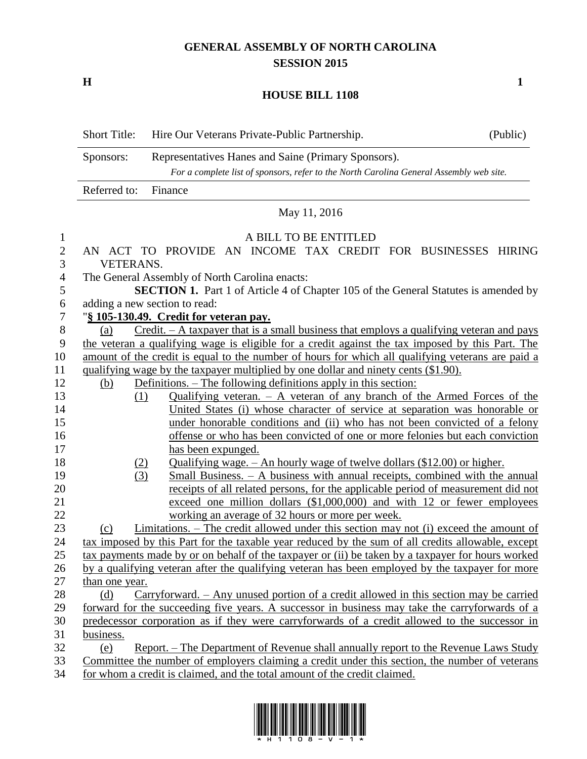## **GENERAL ASSEMBLY OF NORTH CAROLINA SESSION 2015**

**H 1**

## **HOUSE BILL 1108**

|                | <b>Short Title:</b>                                                                                                | Hire Our Veterans Private-Public Partnership.                                                       | (Public) |  |  |
|----------------|--------------------------------------------------------------------------------------------------------------------|-----------------------------------------------------------------------------------------------------|----------|--|--|
|                | Representatives Hanes and Saine (Primary Sponsors).<br>Sponsors:                                                   |                                                                                                     |          |  |  |
|                | For a complete list of sponsors, refer to the North Carolina General Assembly web site.<br>Referred to:<br>Finance |                                                                                                     |          |  |  |
|                |                                                                                                                    |                                                                                                     |          |  |  |
|                |                                                                                                                    | May 11, 2016                                                                                        |          |  |  |
| $\mathbf{1}$   |                                                                                                                    | A BILL TO BE ENTITLED                                                                               |          |  |  |
| $\overline{c}$ |                                                                                                                    | AN ACT TO PROVIDE AN INCOME TAX CREDIT FOR BUSINESSES HIRING                                        |          |  |  |
| 3              | <b>VETERANS.</b>                                                                                                   |                                                                                                     |          |  |  |
| 4              | The General Assembly of North Carolina enacts:                                                                     |                                                                                                     |          |  |  |
| 5              |                                                                                                                    | <b>SECTION 1.</b> Part 1 of Article 4 of Chapter 105 of the General Statutes is amended by          |          |  |  |
| 6              | adding a new section to read:                                                                                      |                                                                                                     |          |  |  |
| $\tau$         | "§ 105-130.49. Credit for veteran pay.                                                                             |                                                                                                     |          |  |  |
| $8\,$          | $C$ redit. $-A$ taxpayer that is a small business that employs a qualifying veteran and pays<br>(a)                |                                                                                                     |          |  |  |
| 9              | the veteran a qualifying wage is eligible for a credit against the tax imposed by this Part. The                   |                                                                                                     |          |  |  |
| 10             | amount of the credit is equal to the number of hours for which all qualifying veterans are paid a                  |                                                                                                     |          |  |  |
| 11             | qualifying wage by the taxpayer multiplied by one dollar and ninety cents (\$1.90).                                |                                                                                                     |          |  |  |
| 12             | (b)                                                                                                                | Definitions. – The following definitions apply in this section:                                     |          |  |  |
| 13             |                                                                                                                    | Qualifying veteran. $-$ A veteran of any branch of the Armed Forces of the<br>(1)                   |          |  |  |
| 14             |                                                                                                                    | United States (i) whose character of service at separation was honorable or                         |          |  |  |
| 15             |                                                                                                                    | under honorable conditions and (ii) who has not been convicted of a felony                          |          |  |  |
| 16             |                                                                                                                    | offense or who has been convicted of one or more felonies but each conviction                       |          |  |  |
| 17             |                                                                                                                    | has been expunged.                                                                                  |          |  |  |
| 18             |                                                                                                                    | <u>Qualifying wage. <math>-</math> An hourly wage of twelve dollars (\$12.00) or higher.</u><br>(2) |          |  |  |
| 19             |                                                                                                                    | Small Business. $- A$ business with annual receipts, combined with the annual<br>(3)                |          |  |  |
| 20             |                                                                                                                    | receipts of all related persons, for the applicable period of measurement did not                   |          |  |  |
| 21             |                                                                                                                    | exceed one million dollars (\$1,000,000) and with 12 or fewer employees                             |          |  |  |
| 22             |                                                                                                                    | working an average of 32 hours or more per week.                                                    |          |  |  |
| 23             | (c)                                                                                                                | Limitations. – The credit allowed under this section may not (i) exceed the amount of               |          |  |  |
| 24             |                                                                                                                    | tax imposed by this Part for the taxable year reduced by the sum of all credits allowable, except   |          |  |  |
| 25             |                                                                                                                    | tax payments made by or on behalf of the taxpayer or (ii) be taken by a taxpayer for hours worked   |          |  |  |
| 26             |                                                                                                                    | by a qualifying veteran after the qualifying veteran has been employed by the taxpayer for more     |          |  |  |
| 27             | than one year.                                                                                                     |                                                                                                     |          |  |  |
| 28             | $Carryforward. - Any unused portion of a credit allowed in this section may be carried$<br>(d)                     |                                                                                                     |          |  |  |
| 29             | forward for the succeeding five years. A successor in business may take the carryforwards of a                     |                                                                                                     |          |  |  |
| 30             | predecessor corporation as if they were carryforwards of a credit allowed to the successor in                      |                                                                                                     |          |  |  |
| 31             | business.                                                                                                          |                                                                                                     |          |  |  |
| 32             | (e)                                                                                                                | Report. – The Department of Revenue shall annually report to the Revenue Laws Study                 |          |  |  |
| 33             |                                                                                                                    | Committee the number of employers claiming a credit under this section, the number of veterans      |          |  |  |
| 34             |                                                                                                                    | for whom a credit is claimed, and the total amount of the credit claimed.                           |          |  |  |